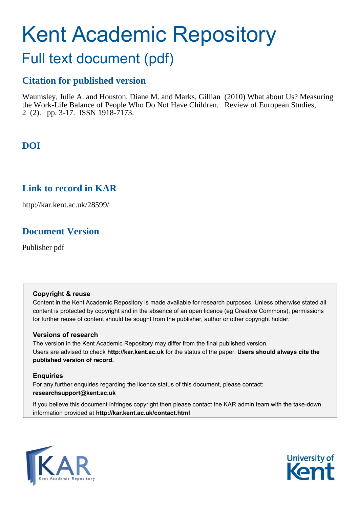# Kent Academic Repository

# Full text document (pdf)

### **Citation for published version**

Waumsley, Julie A. and Houston, Diane M. and Marks, Gillian (2010) What about Us? Measuring the Work-Life Balance of People Who Do Not Have Children. Review of European Studies, 2 (2). pp. 3-17. ISSN 1918-7173.

# **DOI**

# **Link to record in KAR**

http://kar.kent.ac.uk/28599/

# **Document Version**

Publisher pdf

#### **Copyright & reuse**

Content in the Kent Academic Repository is made available for research purposes. Unless otherwise stated all content is protected by copyright and in the absence of an open licence (eg Creative Commons), permissions for further reuse of content should be sought from the publisher, author or other copyright holder.

#### **Versions of research**

The version in the Kent Academic Repository may differ from the final published version. Users are advised to check **http://kar.kent.ac.uk** for the status of the paper. **Users should always cite the published version of record.**

#### **Enquiries**

For any further enquiries regarding the licence status of this document, please contact: **researchsupport@kent.ac.uk**

If you believe this document infringes copyright then please contact the KAR admin team with the take-down information provided at **http://kar.kent.ac.uk/contact.html**



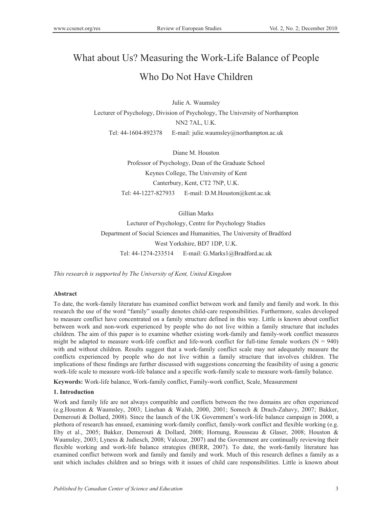# What about Us? Measuring the Work-Life Balance of People Who Do Not Have Children

Julie A. Waumsley

Lecturer of Psychology, Division of Psychology, The University of Northampton NN2 7AL, U.K. Tel: 44-1604-892378 E-mail: julie.waumsley@northampton.ac.uk

> Diane M. Houston Professor of Psychology, Dean of the Graduate School Keynes College, The University of Kent Canterbury, Kent, CT2 7NP, U.K. Tel: 44-1227-827933 E-mail: D.M.Houston@kent.ac.uk

Gillian Marks Lecturer of Psychology, Centre for Psychology Studies Department of Social Sciences and Humanities, The University of Bradford West Yorkshire, BD7 1DP, U.K. Tel: 44-1274-233514 E-mail: G.Marks1@Bradford.ac.uk

*This research is supported by The University of Kent, United Kingdom* 

#### **Abstract**

To date, the work-family literature has examined conflict between work and family and family and work. In this research the use of the word "family" usually denotes child-care responsibilities. Furthermore, scales developed to measure conflict have concentrated on a family structure defined in this way. Little is known about conflict between work and non-work experienced by people who do not live within a family structure that includes children. The aim of this paper is to examine whether existing work-family and family-work conflict measures might be adapted to measure work-life conflict and life-work conflict for full-time female workers ( $N = 940$ ) with and without children. Results suggest that a work-family conflict scale may not adequately measure the conflicts experienced by people who do not live within a family structure that involves children. The implications of these findings are further discussed with suggestions concerning the feasibility of using a generic work-life scale to measure work-life balance and a specific work-family scale to measure work-family balance.

**Keywords:** Work-life balance, Work-family conflict, Family-work conflict, Scale, Measurement

#### **1. Introduction**

Work and family life are not always compatible and conflicts between the two domains are often experienced (e.g.Houston & Waumsley, 2003; Linehan & Walsh, 2000, 2001; Somech & Drach-Zahavy, 2007; Bakker, Demerouti & Dollard, 2008). Since the launch of the UK Government's work-life balance campaign in 2000, a plethora of research has ensued, examining work-family conflict, family-work conflict and flexible working (e.g. Eby et al., 2005; Bakker, Demerouti & Dollard, 2008; Hornung, Rousseau & Glaser, 2008; Houston & Waumsley, 2003; Lyness & Judiesch, 2008; Valcour, 2007) and the Government are continually reviewing their flexible working and work-life balance strategies (BERR, 2007). To date, the work-family literature has examined conflict between work and family and family and work. Much of this research defines a family as a unit which includes children and so brings with it issues of child care responsibilities. Little is known about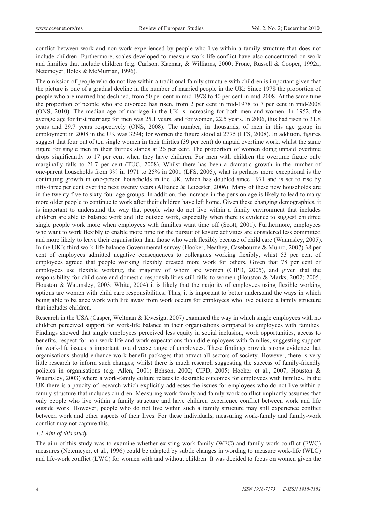conflict between work and non-work experienced by people who live within a family structure that does not include children. Furthermore, scales developed to measure work-life conflict have also concentrated on work and families that include children (e.g. Carlson, Kacmar, & Williams, 2000; Frone, Russell & Cooper, 1992a; Netemeyer, Boles & McMurrian, 1996).

The omission of people who do not live within a traditional family structure with children is important given that the picture is one of a gradual decline in the number of married people in the UK: Since 1978 the proportion of people who are married has declined, from 50 per cent in mid-1978 to 40 per cent in mid-2008. At the same time the proportion of people who are divorced has risen, from 2 per cent in mid-1978 to 7 per cent in mid-2008 (ONS, 2010). The median age of marriage in the UK is increasing for both men and women. In 1952, the average age for first marriage for men was 25.1 years, and for women, 22.5 years. In 2006, this had risen to 31.8 years and 29.7 years respectively (ONS, 2008). The number, in thousands, of men in this age group in employment in 2008 in the UK was 3294; for women the figure stood at 2775 (LFS, 2008). In addition, figures suggest that four out of ten single women in their thirties (39 per cent) do unpaid overtime work, whilst the same figure for single men in their thirties stands at 26 per cent. The proportion of women doing unpaid overtime drops significantly to 17 per cent when they have children. For men with children the overtime figure only marginally falls to 21.7 per cent (TUC, 2008). Whilst there has been a dramatic growth in the number of one-parent households from 9% in 1971 to 25% in 2001 (LFS, 2005), what is perhaps more exceptional is the continuing growth in one-person households in the UK, which has doubled since 1971 and is set to rise by fifty-three per cent over the next twenty years (Alliance & Leicester, 2006). Many of these new households are in the twenty-five to sixty-four age groups. In addition, the increase in the pension age is likely to lead to many more older people to continue to work after their children have left home. Given these changing demographics, it is important to understand the way that people who do not live within a family environment that includes children are able to balance work and life outside work, especially when there is evidence to suggest childfree single people work more when employees with families want time off (Scott, 2001). Furthermore, employees who want to work flexibly to enable more time for the pursuit of leisure activities are considered less committed and more likely to leave their organisation than those who work flexibly because of child care (Waumsley, 2005). In the UK's third work-life balance Governmental survey (Hooker, Neathey, Casebourne & Munro, 2007) 38 per cent of employees admitted negative consequences to colleagues working flexibly, whist 53 per cent of employees agreed that people working flexibly created more work for others. Given that 78 per cent of employees use flexible working, the majority of whom are women (CIPD, 2005), and given that the responsibility for child care and domestic responsibilities still falls to women (Houston & Marks, 2002; 2005; Houston & Waumsley, 2003; White, 2004) it is likely that the majority of employees using flexible working options are women with child care responsibilities. Thus, it is important to better understand the ways in which being able to balance work with life away from work occurs for employees who live outside a family structure that includes children.

Research in the USA (Casper, Weltman & Kwesiga, 2007) examined the way in which single employees with no children perceived support for work-life balance in their organisations compared to employees with families. Findings showed that single employees perceived less equity in social inclusion, work opportunities, access to benefits, respect for non-work life and work expectations than did employees with families, suggesting support for work-life issues is important to a diverse range of employees. These findings provide strong evidence that organisations should enhance work benefit packages that attract all sectors of society. However, there is very little research to inform such changes; whilst there is much research suggesting the success of family-friendly policies in organisations (e.g. Allen, 2001; Behson, 2002; CIPD, 2005; Hooker et al., 2007; Houston & Waumsley, 2003) where a work-family culture relates to desirable outcomes for employees with families. In the UK there is a paucity of research which explicitly addresses the issues for employees who do not live within a family structure that includes children. Measuring work-family and family-work conflict implicitly assumes that only people who live within a family structure and have children experience conflict between work and life outside work. However, people who do not live within such a family structure may still experience conflict between work and other aspects of their lives. For these individuals, measuring work-family and family-work conflict may not capture this.

#### *1.1 Aim of this study*

The aim of this study was to examine whether existing work-family (WFC) and family-work conflict (FWC) measures (Netemeyer, et al., 1996) could be adapted by subtle changes in wording to measure work-life (WLC) and life-work conflict (LWC) for women with and without children. It was decided to focus on women given the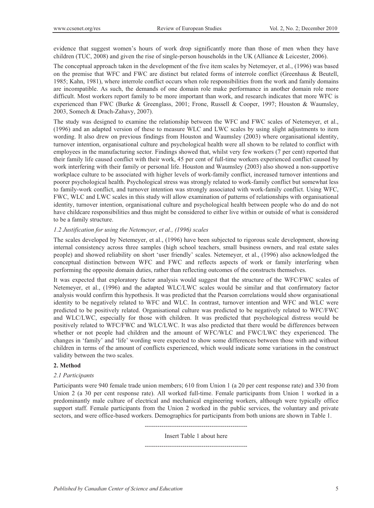evidence that suggest women's hours of work drop significantly more than those of men when they have children (TUC, 2008) and given the rise of single-person households in the UK (Alliance & Leicester, 2006).

The conceptual approach taken in the development of the five item scales by Netemeyer, et al., (1996) was based on the premise that WFC and FWC are distinct but related forms of interrole conflict (Greenhaus & Beutell, 1985; Kahn, 1981), where interrole conflict occurs when role responsibilities from the work and family domains are incompatible. As such, the demands of one domain role make performance in another domain role more difficult. Most workers report family to be more important than work, and research indicates that more WFC is experienced than FWC (Burke & Greenglass, 2001; Frone, Russell & Cooper, 1997; Houston & Waumsley, 2003, Somech & Drach-Zahavy, 2007).

The study was designed to examine the relationship between the WFC and FWC scales of Netemeyer, et al., (1996) and an adapted version of these to measure WLC and LWC scales by using slight adjustments to item wording. It also drew on previous findings from Houston and Waumsley (2003) where organisational identity, turnover intention, organisational culture and psychological health were all shown to be related to conflict with employees in the manufacturing sector. Findings showed that, whilst very few workers (7 per cent) reported that their family life caused conflict with their work, 45 per cent of full-time workers experienced conflict caused by work interfering with their family or personal life. Houston and Waumsley (2003) also showed a non-supportive workplace culture to be associated with higher levels of work-family conflict, increased turnover intentions and poorer psychological health. Psychological stress was strongly related to work-family conflict but somewhat less to family-work conflict, and turnover intention was strongly associated with work-family conflict. Using WFC, FWC, WLC and LWC scales in this study will allow examination of patterns of relationships with organisational identity, turnover intention, organisational culture and psychological health between people who do and do not have childcare responsibilities and thus might be considered to either live within or outside of what is considered to be a family structure.

#### *1.2 Justification for using the Netemeyer, et al., (1996) scales*

The scales developed by Netemeyer, et al., (1996) have been subjected to rigorous scale development, showing internal consistency across three samples (high school teachers, small business owners, and real estate sales people) and showed reliability on short 'user friendly' scales. Netemeyer, et al., (1996) also acknowledged the conceptual distinction between WFC and FWC and reflects aspects of work or family interfering when performing the opposite domain duties, rather than reflecting outcomes of the constructs themselves.

It was expected that exploratory factor analysis would suggest that the structure of the WFC/FWC scales of Netemeyer, et al., (1996) and the adapted WLC/LWC scales would be similar and that confirmatory factor analysis would confirm this hypothesis. It was predicted that the Pearson correlations would show organisational identity to be negatively related to WFC and WLC. In contrast, turnover intention and WFC and WLC were predicted to be positively related. Organisational culture was predicted to be negatively related to WFC/FWC and WLC/LWC, especially for those with children. It was predicted that psychological distress would be positively related to WFC/FWC and WLC/LWC. It was also predicted that there would be differences between whether or not people had children and the amount of WFC/WLC and FWC/LWC they experienced. The changes in 'family' and 'life' wording were expected to show some differences between those with and without children in terms of the amount of conflicts experienced, which would indicate some variations in the construct validity between the two scales.

#### **2. Method**

#### *2.1 Participants*

Participants were 940 female trade union members; 610 from Union 1 (a 20 per cent response rate) and 330 from Union 2 (a 30 per cent response rate). All worked full-time. Female participants from Union 1 worked in a predominantly male culture of electrical and mechanical engineering workers, although were typically office support staff. Female participants from the Union 2 worked in the public services, the voluntary and private sectors, and were office-based workers. Demographics for participants from both unions are shown in Table 1.

-------------------------------------------------

Insert Table 1 about here

-------------------------------------------------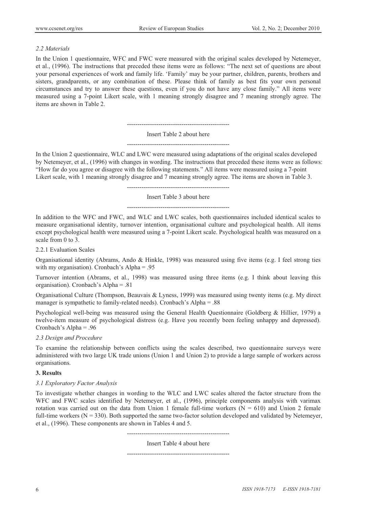#### *2.2 Materials*

In the Union 1 questionnaire, WFC and FWC were measured with the original scales developed by Netemeyer, et al., (1996). The instructions that preceded these items were as follows: "The next set of questions are about your personal experiences of work and family life. 'Family' may be your partner, children, parents, brothers and sisters, grandparents, or any combination of these. Please think of family as best fits your own personal circumstances and try to answer these questions, even if you do not have any close family." All items were measured using a 7-point Likert scale, with 1 meaning strongly disagree and 7 meaning strongly agree. The items are shown in Table 2.

> ------------------------------------------------- Insert Table 2 about here

-------------------------------------------------

In the Union 2 questionnaire, WLC and LWC were measured using adaptations of the original scales developed by Netemeyer, et al., (1996) with changes in wording. The instructions that preceded these items were as follows: "How far do you agree or disagree with the following statements." All items were measured using a 7-point Likert scale, with 1 meaning strongly disagree and 7 meaning strongly agree. The items are shown in Table 3.

 $-$ 

Insert Table 3 about here

-------------------------------------------------

In addition to the WFC and FWC, and WLC and LWC scales, both questionnaires included identical scales to measure organisational identity, turnover intention, organisational culture and psychological health. All items except psychological health were measured using a 7-point Likert scale. Psychological health was measured on a scale from 0 to 3.

2.2.1 Evaluation Scales

Organisational identity (Abrams, Ando & Hinkle, 1998) was measured using five items (e.g. I feel strong ties with my organisation). Cronbach's Alpha = .95

Turnover intention (Abrams, et al., 1998) was measured using three items (e.g. I think about leaving this organisation). Cronbach's Alpha = .81

Organisational Culture (Thompson, Beauvais & Lyness, 1999) was measured using twenty items (e.g. My direct manager is sympathetic to family-related needs). Cronbach's Alpha = .88

Psychological well-being was measured using the General Health Questionnaire (Goldberg & Hillier, 1979) a twelve-item measure of psychological distress (e.g. Have you recently been feeling unhappy and depressed). Cronbach's Alpha = .96

*2.3 Design and Procedure* 

To examine the relationship between conflicts using the scales described, two questionnaire surveys were administered with two large UK trade unions (Union 1 and Union 2) to provide a large sample of workers across organisations.

#### **3. Results**

#### *3.1 Exploratory Factor Analysis*

To investigate whether changes in wording to the WLC and LWC scales altered the factor structure from the WFC and FWC scales identified by Netemeyer, et al., (1996), principle components analysis with varimax rotation was carried out on the data from Union 1 female full-time workers ( $N = 610$ ) and Union 2 female full-time workers ( $N = 330$ ). Both supported the same two-factor solution developed and validated by Netemeyer, et al., (1996). These components are shown in Tables 4 and 5.

-------------------------------------------------

Insert Table 4 about here

-------------------------------------------------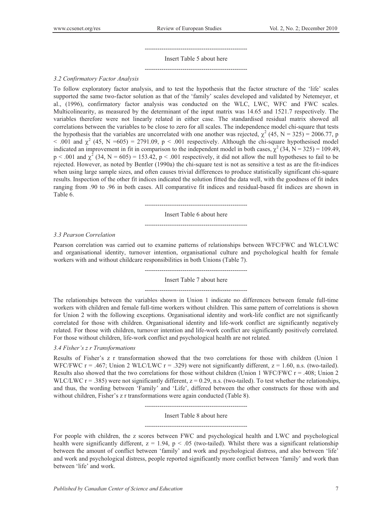-------------------------------------------------

Insert Table 5 about here

#### -------------------------------------------------

#### *3.2 Confirmatory Factor Analysis*

To follow exploratory factor analysis, and to test the hypothesis that the factor structure of the 'life' scales supported the same two-factor solution as that of the 'family' scales developed and validated by Netemeyer, et al., (1996), confirmatory factor analysis was conducted on the WLC, LWC, WFC and FWC scales. Multicolinearity, as measured by the determinant of the input matrix was 14.65 and 1521.7 respectively. The variables therefore were not linearly related in either case. The standardised residual matrix showed all correlations between the variables to be close to zero for all scales. The independence model chi-square that tests the hypothesis that the variables are uncorrelated with one another was rejected,  $\chi^2$  (45, N = 325) = 2006.77, p < .001 and  $\chi^2$  (45, N =605) = 2791.09, p < .001 respectively. Although the chi-square hypothesised model indicated an improvement in fit in comparison to the independent model in both cases,  $\chi^2$  (34, N = 325) = 109.49,  $p < .001$  and  $\chi^2$  (34, N = 605) = 153.42, p < .001 respectively, it did not allow the null hypotheses to fail to be rejected. However, as noted by Bentler (1990a) the chi-square test is not as sensitive a test as are the fit-indices when using large sample sizes, and often causes trivial differences to produce statistically significant chi-square results. Inspection of the other fit indices indicated the solution fitted the data well, with the goodness of fit index ranging from .90 to .96 in both cases. All comparative fit indices and residual-based fit indices are shown in Table 6.

 $-$ 

Insert Table 6 about here

-------------------------------------------------

#### *3.3 Pearson Correlation*

Pearson correlation was carried out to examine patterns of relationships between WFC/FWC and WLC/LWC and organisational identity, turnover intention, organisational culture and psychological health for female workers with and without childcare responsibilities in both Unions (Table 7).

> ------------------------------------------------- Insert Table 7 about here

-------------------------------------------------

The relationships between the variables shown in Union 1 indicate no differences between female full-time workers with children and female full-time workers without children. This same pattern of correlations is shown for Union 2 with the following exceptions. Organisational identity and work-life conflict are not significantly correlated for those with children. Organisational identity and life-work conflict are significantly negatively related. For those with children, turnover intention and life-work conflict are significantly positively correlated. For those without children, life-work conflict and psychological health are not related.

#### *3.4 Fisher's z r Transformations*

Results of Fisher's z r transformation showed that the two correlations for those with children (Union 1 WFC/FWC  $r = .467$ ; Union 2 WLC/LWC  $r = .329$ ) were not significantly different,  $z = 1.60$ , n.s. (two-tailed). Results also showed that the two correlations for those without children (Union 1 WFC/FWC  $r = .408$ ; Union 2 WLC/LWC  $r = .385$ ) were not significantly different,  $z = 0.29$ , n.s. (two-tailed). To test whether the relationships, and thus, the wording between 'Family' and 'Life', differed between the other constructs for those with and without children, Fisher's z r transformations were again conducted (Table 8).

-------------------------------------------------

Insert Table 8 about here

-------------------------------------------------

For people with children, the z scores between FWC and psychological health and LWC and psychological health were significantly different,  $z = 1.94$ ,  $p < .05$  (two-tailed). Whilst there was a significant relationship between the amount of conflict between 'family' and work and psychological distress, and also between 'life' and work and psychological distress, people reported significantly more conflict between 'family' and work than between 'life' and work.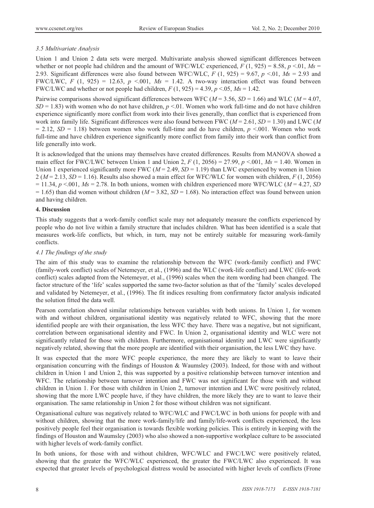#### *3.5 Multivariate Analysis*

Union 1 and Union 2 data sets were merged. Multivariate analysis showed significant differences between whether or not people had children and the amount of WFC/WLC experienced,  $F(1, 925) = 8.58$ ,  $p < 0.01$ ,  $Ms =$ 2.93. Significant differences were also found between WFC/WLC,  $F(1, 925) = 9.67$ ,  $p \le 0.01$ ,  $Ms = 2.93$  and FWC/LWC,  $F(1, 925) = 12.63$ ,  $p < 0.001$ ,  $Ms = 1.42$ . A two-way interaction effect was found between FWC/LWC and whether or not people had children,  $F(1, 925) = 4.39$ ,  $p < 0.05$ ,  $Ms = 1.42$ .

Pairwise comparisons showed significant differences between WFC (*M* = 3.56, *SD* = 1.66) and WLC (*M* = 4.07,  $SD = 1.83$ ) with women who do not have children,  $p \le 01$ . Women who work full-time and do not have children experience significantly more conflict from work into their lives generally, than conflict that is experienced from work into family life. Significant differences were also found between FWC (*M* = 2.61, *SD* = 1.30) and LWC (*M*  $= 2.12$ , *SD* = 1.18) between women who work full-time and do have children,  $p \le 0.001$ . Women who work full-time and have children experience significantly more conflict from family into their work than conflict from life generally into work.

It is acknowledged that the unions may themselves have created differences. Results from MANOVA showed a main effect for FWC/LWC between Union 1 and Union 2,  $F(1, 2056) = 27.99$ ,  $p < .001$ ,  $Ms = 1.40$ . Women in Union 1 experienced significantly more FWC ( $M = 2.49$ ,  $SD = 1.19$ ) than LWC experienced by women in Union 2 (*M* = 2.13, *SD* = 1.16). Results also showed a main effect for WFC/WLC for women with children, *F* (1, 2056)  $= 11.34, p < .001, Ms = 2.78$ . In both unions, women with children experienced more WFC/WLC ( $M = 4.27, SD$ )  $= 1.65$ ) than did women without children ( $M = 3.82$ ,  $SD = 1.68$ ). No interaction effect was found between union and having children.

#### **4. Discussion**

This study suggests that a work-family conflict scale may not adequately measure the conflicts experienced by people who do not live within a family structure that includes children. What has been identified is a scale that measures work-life conflicts, but which, in turn, may not be entirely suitable for measuring work-family conflicts.

#### *4.1 The findings of the study*

The aim of this study was to examine the relationship between the WFC (work-family conflict) and FWC (family-work conflict) scales of Netemeyer, et al., (1996) and the WLC (work-life conflict) and LWC (life-work conflict) scales adapted from the Netemeyer, et al., (1996) scales when the item wording had been changed. The factor structure of the 'life' scales supported the same two-factor solution as that of the 'family' scales developed and validated by Netemeyer, et al., (1996). The fit indices resulting from confirmatory factor analysis indicated the solution fitted the data well.

Pearson correlation showed similar relationships between variables with both unions. In Union 1, for women with and without children, organisational identity was negatively related to WFC, showing that the more identified people are with their organisation, the less WFC they have. There was a negative, but not significant, correlation between organisational identity and FWC. In Union 2, organisational identity and WLC were not significantly related for those with children. Furthermore, organisational identity and LWC were significantly negatively related, showing that the more people are identified with their organisation, the less LWC they have.

It was expected that the more WFC people experience, the more they are likely to want to leave their organisation concurring with the findings of Houston & Waumsley (2003). Indeed, for those with and without children in Union 1 and Union 2, this was supported by a positive relationship between turnover intention and WFC. The relationship between turnover intention and FWC was not significant for those with and without children in Union 1. For those with children in Union 2, turnover intention and LWC were positively related, showing that the more LWC people have, if they have children, the more likely they are to want to leave their organisation. The same relationship in Union 2 for those without children was not significant.

Organisational culture was negatively related to WFC/WLC and FWC/LWC in both unions for people with and without children, showing that the more work-family/life and family/life-work conflicts experienced, the less positively people feel their organisation is towards flexible working policies. This is entirely in keeping with the findings of Houston and Waumsley (2003) who also showed a non-supportive workplace culture to be associated with higher levels of work-family conflict.

In both unions, for those with and without children, WFC/WLC and FWC/LWC were positively related, showing that the greater the WFC/WLC experienced, the greater the FWC/LWC also experienced. It was expected that greater levels of psychological distress would be associated with higher levels of conflicts (Frone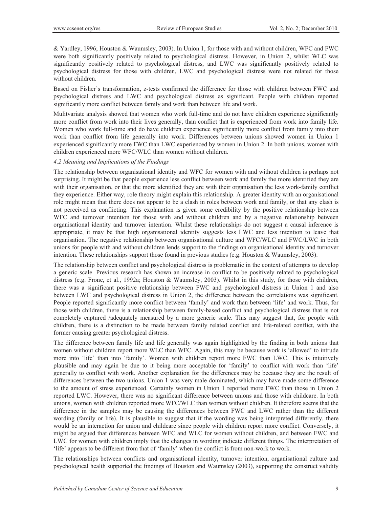& Yardley, 1996; Houston & Waumsley, 2003). In Union 1, for those with and without children, WFC and FWC were both significantly positively related to psychological distress. However, in Union 2, whilst WLC was significantly positively related to psychological distress, and LWC was significantly positively related to psychological distress for those with children, LWC and psychological distress were not related for those without children.

Based on Fisher's transformation, z-tests confirmed the difference for those with children between FWC and psychological distress and LWC and psychological distress as significant. People with children reported significantly more conflict between family and work than between life and work.

Mulitvariate analysis showed that women who work full-time and do not have children experience significantly more conflict from work into their lives generally, than conflict that is experienced from work into family life. Women who work full-time and do have children experience significantly more conflict from family into their work than conflict from life generally into work. Differences between unions showed women in Union 1 experienced significantly more FWC than LWC experienced by women in Union 2. In both unions, women with children experienced more WFC/WLC than women without children.

#### *4.2 Meaning and Implications of the Findings*

The relationship between organisational identity and WFC for women with and without children is perhaps not surprising. It might be that people experience less conflict between work and family the more identified they are with their organisation, or that the more identified they are with their organisation the less work-family conflict they experience. Either way, role theory might explain this relationship. A greater identity with an organisational role might mean that there does not appear to be a clash in roles between work and family, or that any clash is not perceived as conflicting. This explanation is given some credibility by the positive relationship between WFC and turnover intention for those with and without children and by a negative relationship between organisational identity and turnover intention. Whilst these relationships do not suggest a causal inference is appropriate, it may be that high organisational identity suggests less LWC and less intention to leave that organisation. The negative relationship between organisational culture and WFC/WLC and FWC/LWC in both unions for people with and without children lends support to the findings on organisational identity and turnover intention. These relationships support those found in previous studies (e.g. Houston & Waumsley, 2003).

The relationship between conflict and psychological distress is problematic in the context of attempts to develop a generic scale. Previous research has shown an increase in conflict to be positively related to psychological distress (e.g. Frone, et al., 1992a; Houston & Waumsley, 2003). Whilst in this study, for those with children, there was a significant positive relationship between FWC and psychological distress in Union 1 and also between LWC and psychological distress in Union 2, the difference between the correlations was significant. People reported significantly more conflict between 'family' and work than between 'life' and work. Thus, for those with children, there is a relationship between family-based conflict and psychological distress that is not completely captured /adequately measured by a more generic scale. This may suggest that, for people with children, there is a distinction to be made between family related conflict and life-related conflict, with the former causing greater psychological distress.

The difference between family life and life generally was again highlighted by the finding in both unions that women without children report more WLC than WFC. Again, this may be because work is 'allowed' to intrude more into 'life' than into 'family'. Women with children report more FWC than LWC. This is intuitively plausible and may again be due to it being more acceptable for 'family' to conflict with work than 'life' generally to conflict with work. Another explanation for the differences may be because they are the result of differences between the two unions. Union 1 was very male dominated, which may have made some difference to the amount of stress experienced. Certainly women in Union 1 reported more FWC than those in Union 2 reported LWC. However, there was no significant difference between unions and those with childcare. In both unions, women with children reported more WFC/WLC than women without children. It therefore seems that the difference in the samples may be causing the differences between FWC and LWC rather than the different wording (family or life). It is plausible to suggest that if the wording was being interpreted differently, there would be an interaction for union and childcare since people with children report more conflict. Conversely, it might be argued that differences between WFC and WLC for women without children, and between FWC and LWC for women with children imply that the changes in wording indicate different things. The interpretation of 'life' appears to be different from that of 'family' when the conflict is from non-work to work.

The relationships between conflicts and organisational identity, turnover intention, organisational culture and psychological health supported the findings of Houston and Waumsley (2003), supporting the construct validity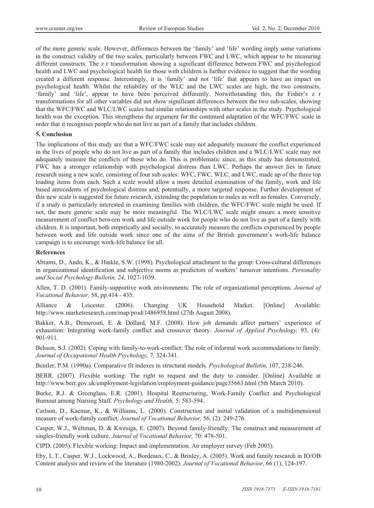of the more generic scale. However, differences between the 'family' and 'life' wording imply some variations in the construct validity of the two scales, particularly between FWC and LWC, which appear to be measuring different constructs. The z r transformation showing a significant difference between FWC and psychological health and LWC and psychological health for those with children is further evidence to suggest that the wording created a different response. Interestingly, it is 'family' and not 'life' that appears to have an impact on psychological health. Whilst the reliability of the WLC and the LWC scales are high, the two constructs, 'family' and 'life', appear to have been perceived differently. Notwithstanding this, the Fisher's z r transformations for all other variables did not show significant differences between the two sub-scales, showing that the WFC/FWC and WLC/LWC scales had similar relationships with other scales in the study. Psychological health was the exception. This strengthens the argument for the continued adaptation of the WFC/FWC scale in order that it recognises people who do not live as part of a family that includes children.

#### **5. Conclusion**

The implications of this study are that a WFC/FWC scale may not adequately measure the conflict experienced in the lives of people who do not live as part of a family that includes children and a WLC/LWC scale may not adequately measure the conflicts of those who do. This is problematic since, as this study has demonstrated, FWC has a stronger relationship with psychological distress than LWC. Perhaps the answer lies in future research using a new scale, consisting of four sub scales: WFC, FWC, WLC, and LWC, made up of the three top loading items from each. Such a scale would allow a more detailed examination of the family, work and life based antecedents of psychological distress and, potentially, a more targeted response. Further development of this new scale is suggested for future research, extending the population to males as well as females. Conversely, if a study is particularly interested in examining families with children, the WFC/FWC scale might be used. If not, the more generic scale may be more meaningful. The WLC/LWC scale might ensure a more sensitive measurement of conflict between work and life outside work for people who do not live as part of a family with children. It is important, both empirically and socially, to accurately measure the conflicts experienced by people between work and life outside work since one of the aims of the British government's work-life balance campaign is to encourage work-life balance for all.

#### **References**

Abrams, D., Ando, K., & Hinkle, S.W. (1998). Psychological attachment to the group: Cross-cultural differences in organizational identification and subjective norms as predictors of workers' turnover intentions. *Personality and Social Psychology Bulletin, 24*, 1027-1039.

Allen, T. D. (2001). Family-supportive work environments: The role of organizational perceptions. *Journal of Vocational Behavior,* 58, pp.414 - 435.

Alliance & Leicester. (2006). Changing UK Household Market. [Online] Available: http://www.marketresearch.com/map/prod/1486958.html (27th August 2008).

Bakker, A.B., Demerouti, E. & Dollard, M.F. (2008). How job demands affect partners' experience of exhaustion: Integrating work-family conflict and crossover theory. *Journal of Applied Psychology,* 93, (4): 901-911.

Behson, S.J. (2002). Coping with family-to-work-conflict: The role of informal work accommodations to family. *Journal of Occupational Health Psychology,* 7*,* 324-341.

Bentler, P.M. (1990a). Comparative fit indexes in structural models. *Psychological Bulletin,* 107, 238-246.

BERR. (2007). Flexible working: The right to request and the duty to consider. [Online] Available at http://www.berr.gov.uk/employment-legislation/employment-guidance/page35663.html (5th March 2010).

Burke, R.J. & Greenglass, E.R. (2001). Hospital Restructuring, Work-Family Conflict and Psychological Burnout among Nursing Staff. *Psychology and Health,* 5: 583-594.

Carlson, D., Kacmar, K., & Williams, L. (2000). Construction and initial validation of a multidimensional measure of work-family conflict. *Journal of Vocational Behavior,* 56, (2): 249-276.

Casper, W.J., Weltman, D. & Kwesiga, E. (2007). Beyond family-friendly: The construct and measurement of singles-friendly work culture. *Journal of Vocational Behavior,* 70: 478-501.

CIPD. (2005). Flexible working: Impact and implementation. An employer survey (Feb 2005).

Eby, L.T., Casper, W.J., Lockwood, A., Bordeaux, C., & Brinley, A. (2005). Work and family research in IO/OB: Content analysis and review of the literature (1980-2002). *Journal of Vocational Behavior*, 66 (1), 124-197.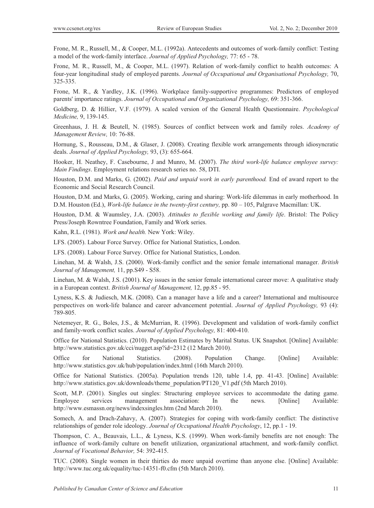Frone, M. R., Russell, M., & Cooper, M.L. (1992a). Antecedents and outcomes of work-family conflict: Testing a model of the work-family interface. *Journal of Applied Psychology,* 77: 65 - 78.

Frone, M. R., Russell, M., & Cooper, M.L. (1997). Relation of work-family conflict to health outcomes: A four-year longitudinal study of employed parents. *Journal of Occupational and Organisational Psychology,* 70, 325-335.

Frone, M. R., & Yardley, J.K. (1996). Workplace family-supportive programmes: Predictors of employed parents' importance ratings. *Journal of Occupational and Organizational Psychology,* 69: 351-366.

Goldberg, D. & Hillier, V.F. (1979). A scaled version of the General Health Questionnaire. *Psychological Medicine,* 9, 139-145.

Greenhaus, J. H. & Beutell, N. (1985). Sources of conflict between work and family roles. *Academy of Management Review,* 10: 76-88.

Hornung, S., Rousseau, D.M., & Glaser, J. (2008). Creating flexible work arrangements through idiosyncratic deals. *Journal of Applied Psychology,* 93, (3): 655-664.

Hooker, H. Neathey, F. Casebourne, J and Munro, M. (2007). *The third work-life balance employee survey: Main Findings*. Employment relations research series no. 58, DTI.

Houston, D.M. and Marks, G. (2002). *Paid and unpaid work in early parenthood.* End of award report to the Economic and Social Research Council.

Houston, D.M. and Marks, G. (2005). Working, caring and sharing: Work-life dilemmas in early motherhood. In D.M. Houston (Ed.), *Work-life balance in the twenty-first century,* pp. 80 – 105, Palgrave Macmillan: UK.

Houston, D.M. & Waumsley, J.A. (2003). *Attitudes to flexible working and family life*. Bristol: The Policy Press/Joseph Rowntree Foundation, Family and Work series.

Kahn, R.L. (1981). *Work and health.* New York: Wiley.

LFS. (2005). Labour Force Survey. Office for National Statistics, London.

LFS. (2008). Labour Force Survey. Office for National Statistics, London.

Linehan, M. & Walsh, J.S. (2000). Work-family conflict and the senior female international manager. *British Journal of Management,* 11, pp.S49 - S58.

Linehan, M. & Walsh, J.S. (2001). Key issues in the senior female international career move: A qualitative study in a European context. *British Journal of Management,* 12, pp.85 - 95.

Lyness, K.S. & Judiesch, M.K. (2008). Can a manager have a life and a career? International and multisource perspectives on work-life balance and career advancement potential. *Journal of Applied Psychology,* 93 (4): 789-805.

Netemeyer, R. G., Boles, J.S., & McMurrian, R. (1996). Development and validation of work-family conflict and family-work conflict scales. *Journal of Applied Psychology,* 81: 400-410.

Office for National Statistics. (2010). Population Estimates by Marital Status. UK Snapshot. [Online] Available: http://www.statistics.gov.uk/cci/nugget.asp?id=2312 (12 March 2010).

Office for National Statistics. (2008). Population Change. [Online] Available: http://www.statistics.gov.uk/hub/population/index.html (16th March 2010).

Office for National Statistics. (2005a). Population trends 120, table 1.4, pp. 41-43. [Online] Available: http://www.statistics.gov.uk/downloads/theme\_population/PT120\_V1.pdf (5th March 2010).

Scott, M.P. (2001). Singles out singles: Structuring employee services to accommodate the dating game. Employee services management association: In the news. [Online] Available: http://www.esmassn.org/news/indexsingles.htm (2nd March 2010).

Somech, A. and Drach-Zahavy, A. (2007). Strategies for coping with work-family conflict: The distinctive relationships of gender role ideology. *Journal of Occupational Health Psychology*, 12, pp.1 - 19.

Thompson, C. A., Beauvais, L.L., & Lyness, K.S. (1999). When work-family benefits are not enough: The influence of work-family culture on benefit utilization, organizational attachment, and work-family conflict. *Journal of Vocational Behavior,* 54: 392-415.

TUC. (2008). Single women in their thirties do more unpaid overtime than anyone else. [Online] Available: http://www.tuc.org.uk/equality/tuc-14351-f0.cfm (5th March 2010).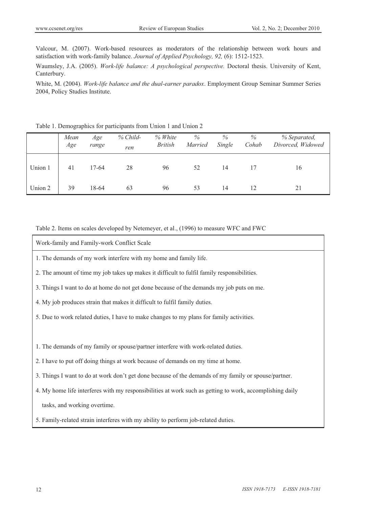Valcour, M. (2007). Work-based resources as moderators of the relationship between work hours and satisfaction with work-family balance. *Journal of Applied Psychology, 92,* (6): 1512-1523.

Waumsley, J.A. (2005). *Work-life balance: A psychological perspective.* Doctoral thesis. University of Kent, Canterbury.

White, M. (2004). *Work-life balance and the dual-earner paradox*. Employment Group Seminar Summer Series 2004, Policy Studies Institute.

|         | Mean<br>Age | Age<br>range | % Child-<br>ren | % White<br><b>British</b> | $\%$<br><b>Married</b> | %<br>Single | $\%$<br>Cohab | % Separated,<br>Divorced, Widowed |
|---------|-------------|--------------|-----------------|---------------------------|------------------------|-------------|---------------|-----------------------------------|
| Union 1 | 41          | $17-64$      | 28              | 96                        | 52                     | 14          |               | 16                                |
| Union 2 | 39          | 18-64        | 63              | 96                        | 53                     | 14          | 12            | 21                                |

Table 1. Demographics for participants from Union 1 and Union 2

#### Table 2. Items on scales developed by Netemeyer, et al., (1996) to measure WFC and FWC

| Work-family and Family-work Conflict Scale                                                               |  |  |  |  |  |  |
|----------------------------------------------------------------------------------------------------------|--|--|--|--|--|--|
| 1. The demands of my work interfere with my home and family life.                                        |  |  |  |  |  |  |
| 2. The amount of time my job takes up makes it difficult to fulfil family responsibilities.              |  |  |  |  |  |  |
| 3. Things I want to do at home do not get done because of the demands my job puts on me.                 |  |  |  |  |  |  |
| 4. My job produces strain that makes it difficult to fulfil family duties.                               |  |  |  |  |  |  |
| 5. Due to work related duties, I have to make changes to my plans for family activities.                 |  |  |  |  |  |  |
|                                                                                                          |  |  |  |  |  |  |
| 1. The demands of my family or spouse/partner interfere with work-related duties.                        |  |  |  |  |  |  |
| 2. I have to put off doing things at work because of demands on my time at home.                         |  |  |  |  |  |  |
| 3. Things I want to do at work don't get done because of the demands of my family or spouse/partner.     |  |  |  |  |  |  |
| 4. My home life interferes with my responsibilities at work such as getting to work, accomplishing daily |  |  |  |  |  |  |
| tasks, and working overtime.                                                                             |  |  |  |  |  |  |
| 5. Family-related strain interferes with my ability to perform job-related duties.                       |  |  |  |  |  |  |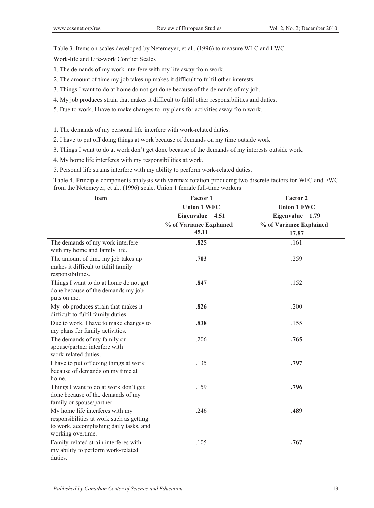Table 3. Items on scales developed by Netemeyer, et al., (1996) to measure WLC and LWC

Work-life and Life-work Conflict Scales

1. The demands of my work interfere with my life away from work.

2. The amount of time my job takes up makes it difficult to fulfil other interests.

3. Things I want to do at home do not get done because of the demands of my job.

4. My job produces strain that makes it difficult to fulfil other responsibilities and duties.

5. Due to work, I have to make changes to my plans for activities away from work.

1. The demands of my personal life interfere with work-related duties.

2. I have to put off doing things at work because of demands on my time outside work.

3. Things I want to do at work don't get done because of the demands of my interests outside work.

4. My home life interferes with my responsibilities at work.

5. Personal life strains interfere with my ability to perform work-related duties.

Table 4. Principle components analysis with varimax rotation producing two discrete factors for WFC and FWC from the Netemeyer, et al., (1996) scale. Union 1 female full-time workers

| <b>Item</b>                                                                                                                                 | Factor 1                  | Factor 2                  |  |  |
|---------------------------------------------------------------------------------------------------------------------------------------------|---------------------------|---------------------------|--|--|
|                                                                                                                                             | <b>Union 1 WFC</b>        | <b>Union 1 FWC</b>        |  |  |
|                                                                                                                                             | Eigenvalue = $4.51$       | Eigenvalue = $1.79$       |  |  |
|                                                                                                                                             | % of Variance Explained = | % of Variance Explained = |  |  |
|                                                                                                                                             | 45.11                     | 17.87                     |  |  |
| The demands of my work interfere<br>with my home and family life.                                                                           | .825                      | .161                      |  |  |
| The amount of time my job takes up<br>makes it difficult to fulfil family<br>responsibilities.                                              | .703                      | .259                      |  |  |
| Things I want to do at home do not get<br>done because of the demands my job<br>puts on me.                                                 | .847                      | .152                      |  |  |
| My job produces strain that makes it<br>difficult to fulfil family duties.                                                                  | .826                      | .200                      |  |  |
| Due to work, I have to make changes to<br>my plans for family activities.                                                                   | .838                      | .155                      |  |  |
| The demands of my family or<br>spouse/partner interfere with<br>work-related duties.                                                        | .206                      | .765                      |  |  |
| I have to put off doing things at work<br>because of demands on my time at<br>home.                                                         | .135                      | .797                      |  |  |
| Things I want to do at work don't get<br>done because of the demands of my<br>family or spouse/partner.                                     | .159                      | .796                      |  |  |
| My home life interferes with my<br>responsibilities at work such as getting<br>to work, accomplishing daily tasks, and<br>working overtime. | .246                      | .489                      |  |  |
| Family-related strain interferes with<br>my ability to perform work-related<br>duties.                                                      | .105                      | .767                      |  |  |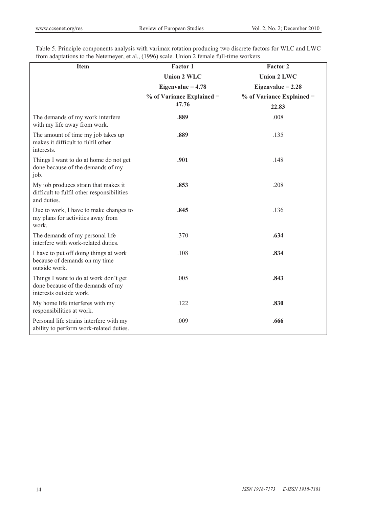| <b>Item</b>                                                                                           | Factor 1                    | Factor 2                    |  |  |
|-------------------------------------------------------------------------------------------------------|-----------------------------|-----------------------------|--|--|
|                                                                                                       | <b>Union 2 WLC</b>          | <b>Union 2 LWC</b>          |  |  |
|                                                                                                       | Eigenvalue = $4.78$         | Eigenvalue = $2.28$         |  |  |
|                                                                                                       | $%$ of Variance Explained = | $%$ of Variance Explained = |  |  |
|                                                                                                       | 47.76                       | 22.83                       |  |  |
| The demands of my work interfere<br>with my life away from work.                                      | .889                        | .008                        |  |  |
| The amount of time my job takes up<br>makes it difficult to fulfil other<br>interests.                | .889                        | .135                        |  |  |
| Things I want to do at home do not get<br>done because of the demands of my<br>job.                   | .901                        | .148                        |  |  |
| My job produces strain that makes it<br>difficult to fulfil other responsibilities<br>and duties.     | .853                        | .208                        |  |  |
| Due to work, I have to make changes to<br>my plans for activities away from<br>work.                  | .845                        | .136                        |  |  |
| The demands of my personal life<br>interfere with work-related duties.                                | .370                        | .634                        |  |  |
| I have to put off doing things at work<br>because of demands on my time<br>outside work.              | .108                        | .834                        |  |  |
| Things I want to do at work don't get<br>done because of the demands of my<br>interests outside work. | .005                        | .843                        |  |  |
| My home life interferes with my<br>responsibilities at work.                                          | .122                        | .830                        |  |  |
| Personal life strains interfere with my<br>ability to perform work-related duties.                    | .009                        | .666                        |  |  |

Table 5. Principle components analysis with varimax rotation producing two discrete factors for WLC and LWC from adaptations to the Netemeyer, et al., (1996) scale. Union 2 female full-time workers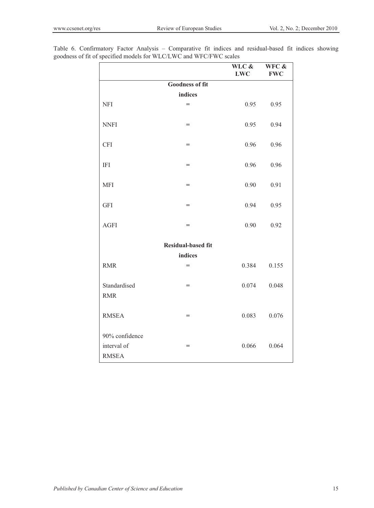|                |                           | WLC &<br><b>LWC</b> | WFC &<br><b>FWC</b> |
|----------------|---------------------------|---------------------|---------------------|
|                | <b>Goodness of fit</b>    |                     |                     |
|                | <b>indices</b>            |                     |                     |
| <b>NFI</b>     | $=$                       | 0.95                | 0.95                |
| <b>NNFI</b>    | $=$                       | 0.95                | 0.94                |
| <b>CFI</b>     | $\!\!=\!\!$               | 0.96                | 0.96                |
| <b>IFI</b>     | $=$                       | 0.96                | 0.96                |
| <b>MFI</b>     | $=$                       | 0.90                | 0.91                |
| <b>GFI</b>     | $=$                       | 0.94                | 0.95                |
| <b>AGFI</b>    | $=$                       | 0.90                | 0.92                |
|                | <b>Residual-based fit</b> |                     |                     |
|                | indices                   |                     |                     |
| <b>RMR</b>     | $=$                       | 0.384               | 0.155               |
| Standardised   | $=$                       | 0.074               | 0.048               |
| <b>RMR</b>     |                           |                     |                     |
| <b>RMSEA</b>   | $\!\!=\!\!$               | 0.083               | 0.076               |
| 90% confidence |                           |                     |                     |
| interval of    | $=$                       | 0.066               | 0.064               |
| <b>RMSEA</b>   |                           |                     |                     |

Table 6. Confirmatory Factor Analysis – Comparative fit indices and residual-based fit indices showing goodness of fit of specified models for WLC/LWC and WFC/FWC scales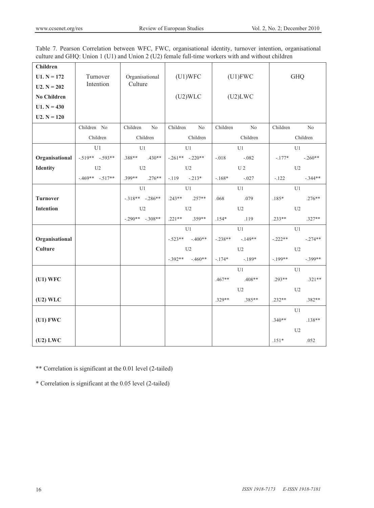| Table 7. Pearson Correlation between WFC, FWC, organisational identity, turnover intention, organisational |  |  |  |  |  |
|------------------------------------------------------------------------------------------------------------|--|--|--|--|--|
| culture and GHQ: Union 1 (U1) and Union 2 (U2) female full-time workers with and without children          |  |  |  |  |  |

| Children           |                            |                      |                     |                       |                        |  |
|--------------------|----------------------------|----------------------|---------------------|-----------------------|------------------------|--|
| $U1. N = 172$      | Turnover<br>Organisational |                      | (U1)WFC             | $(U1)$ FWC            | <b>GHQ</b>             |  |
| $U2. N = 202$      | Intention                  | Culture              |                     |                       |                        |  |
| <b>No Children</b> |                            |                      | (U2)WLC             | (U2)LWC               |                        |  |
| $U1. N = 430$      |                            |                      |                     |                       |                        |  |
| $U2. N = 120$      |                            |                      |                     |                       |                        |  |
|                    | Children No                | Children<br>No       | Children<br>No      | Children<br>No        | Children<br>No         |  |
|                    | Children                   | Children             | Children            | Children              | Children               |  |
|                    | U1                         | U1                   | U1                  | U1                    | U1                     |  |
| Organisational     | $-.519**$ $-.593**$        | $.388***$ $.430**$   | $-.261**-.220**$    | $-.018$<br>$-.082$    | $-.177*$<br>$-.260**$  |  |
| Identity           | U <sub>2</sub>             | U <sub>2</sub>       | U <sub>2</sub>      | U <sub>2</sub>        | U2                     |  |
|                    | $-.469**-.517**$           | $.399**$ $.276**$    | $-.119-.213*$       | $-.027$<br>$-.168*$   | $-.122$<br>$-.344**$   |  |
|                    |                            | U1                   | U1                  | U1                    | U1                     |  |
| <b>Turnover</b>    |                            | $-.318***$ $-.286**$ | $.243**$ $.257**$   | .068<br>.079          | $.185*$<br>$.276**$    |  |
| Intention          |                            | U <sub>2</sub>       | U <sub>2</sub>      | U2                    | U2                     |  |
|                    |                            | $-.290**-.308**$     | $.221***$ $.359**$  | $.154*$<br>.119       | $.233**$<br>$.327**$   |  |
|                    |                            |                      | U1                  | U1                    | U1                     |  |
| Organisational     |                            |                      | $-.523**$ $-.400**$ | $-.238**$<br>$-149**$ | $-.222**$<br>$-.274**$ |  |
| <b>Culture</b>     |                            |                      | U <sub>2</sub>      | U2                    | U <sub>2</sub>         |  |
|                    |                            |                      | $-.392**$ $-.460**$ | $-.174*$<br>$-189*$   | $-199**$<br>$-.399**$  |  |
|                    |                            |                      |                     | U1                    | U1                     |  |
| $(U1)$ WFC         |                            |                      |                     | $.467**$<br>$.408**$  | $.293**$<br>$.321**$   |  |
|                    |                            |                      |                     | U2                    | U <sub>2</sub>         |  |
| (U2) WLC           |                            |                      |                     | $.329**$<br>$.385**$  | $.232**$<br>.382**     |  |
|                    |                            |                      |                     |                       | U1                     |  |
| $(U1)$ FWC         |                            |                      |                     |                       | $.340**$<br>$.138**$   |  |
|                    |                            |                      |                     |                       | U <sub>2</sub>         |  |
| $(U2)$ LWC         |                            |                      |                     |                       | $.151*$<br>.052        |  |

\*\* Correlation is significant at the 0.01 level (2-tailed)

\* Correlation is significant at the 0.05 level (2-tailed)